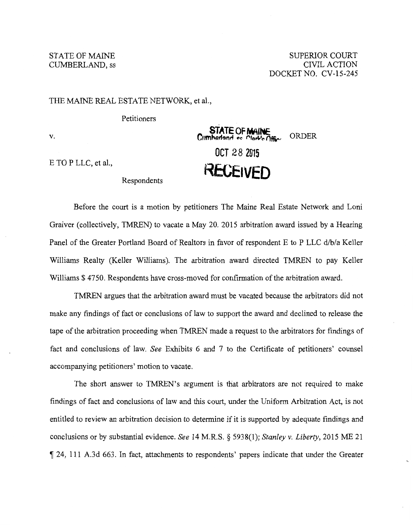## STATE OF MAINE CUMBERLAND, ss

SUPERIOR COURT CIVIL ACTION DOCKETNO. CV-15-245

**ORDER** 

## THE MAINE REAL ESTATE NETWORK, et al.,

Petitioners

V.

E TO P LLC, et al.,<br>Respondents<br>RECEIVED

Before the court is a motion by petitioners The Maine Real Estate Network and Loni Graiver (collectively, TMREN) to vacate a May 20. 2015 arbitration award issued by a Hearing Panel of the Greater Portland Board of Realtors in favor of respondent E to P LLC d/b/a Keller Williams Realty (Keller Williams). The arbitration award directed TMREN to pay Keller Williams \$4750. Respondents have cross-moved for confirmation of the arbitration award.

**OCT 28 2015** 

**STATE OF MAINE**<br>Crimharland es Clork's Offic

TMREN argues that the arbitration award must be vacated because the arbitrators did not make any findings of fact or conclusions of law to support the award and declined to release the tape of the arbitration proceeding when TMREN made a request to the arbitrators for findings of fact and conclusions of law. *See* Exhibits 6 and 7 to the Certificate of petitioners' counsel accompanying petitioners' motion to vacate.

The short answer to TMREN's argument is that arbitrators are not required to make findings of fact and conclusions of law and this court, under the Uniform Arbitration Act, is not entitled to review an arbitration decision to determine if it is supported by adequate findings and conclusions or by substantial evidence. *See* 14 M.R.S. § 5938(1); *Stanley v. Liberty,* 2015 ME 21 ~ 24, 111 A.3d 663. In fact, attachments to respondents' papers indicate that under the Greater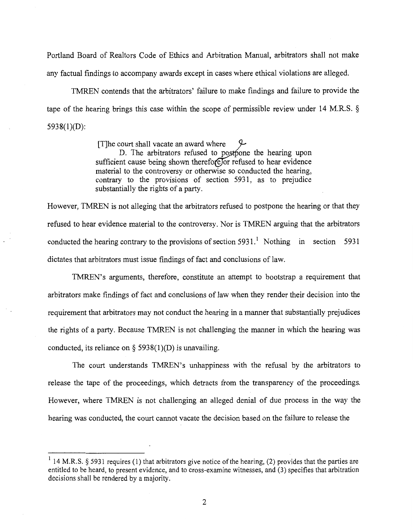Portland Board of Realtors Code of Ethics and Arbitration Manual, arbitrators shall not make any factual findings to accompany awards except in cases where ethical violations are alleged.

TMREN contends that the arbitrators' failure to make findings and failure to provide the tape of the hearing brings this case within the scope of permissible review under 14 M.R.S. § 5938(1)(D):

> [T]he court shall vacate an award where D. The arbitrators refused to postpone the hearing upon sufficient cause being shown therefore for refused to hear evidence material to the controversy or otherwise so conducted the hearing, contrary to the provisions of section 5931, as to prejudice substantially the rights of a party.

However, TMREN is not alleging that the arbitrators refused to postpone the hearing or that they refused to hear evidence material to the controversy. Nor is TMREN arguing that the arbitrators conducted the hearing contrary to the provisions of section 5931.<sup>1</sup> Nothing in section 5931 dictates that arbitrators must issue findings of fact and conclusions of law.

TMREN's arguments, therefore, constitute an attempt to bootstrap a requirement that arbitrators make findings of fact and conclusions of law when they render their decision into the requirement that arbitrators may not conduct the hearing in a manner that substantially prejudices the rights of a party. Because TMREN is not challenging the manner in which the hearing was conducted, its reliance on  $\S$  5938(1)(D) is unavailing.

The court understands TMREN's unhappiness with the refusal by the arbitrators to release the tape of the proceedings, which detracts from the transparency of the proceedings. However, where TMREN is not challenging an alleged denial of due process in the way the hearing was conducted, the court cannot vacate the decision based on the failure to release the

 $1$  14 M.R.S. § 5931 requires (1) that arbitrators give notice of the hearing, (2) provides that the parties are entitled to be heard, to present evidence, and to cross-examine witnesses, and (3) specifies that arbitration decisions shall be rendered by a majority.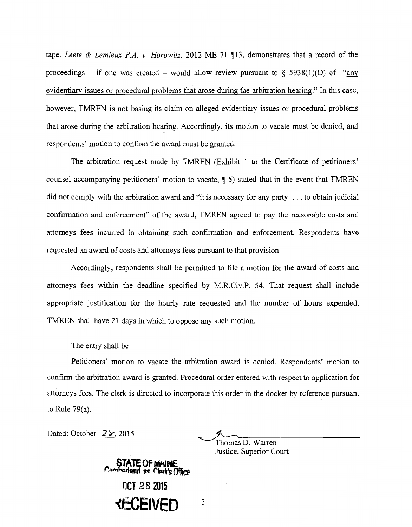tape. *Leete & Lemieux P.A. v. Horowitz*, 2012 ME 71 ¶13, demonstrates that a record of the proceedings – if one was created – would allow review pursuant to  $\S$  5938(1)(D) of "any evidentiary issues or procedural problems that arose during the arbitration hearing." In this case, however, TMREN is not basing its claim on alleged evidentiary issues or procedural problems that arose during the arbitration hearing. Accordingly, its motion to vacate must be denied, and respondents' motion to confirm the award must be granted.

The arbitration request made by TMREN (Exhibit 1 to the Certificate of petitioners' counsel accompanying petitioners' motion to vacate,  $\parallel$  5) stated that in the event that TMREN did not comply with the arbitration award and "it is necessary for any party ... to obtain judicial confirmation and enforcement" of the award, TMREN agreed to pay the reasonable costs and attorneys fees incurred in obtaining such confirmation and enforcement. Respondents have requested an award of costs and attorneys fees pursuant to that provision.

Accordingly, respondents shall be permitted to file a motion for the award of costs and attorneys fees within the deadline specified by M.R.Civ.P. 54. That request shall include appropriate justification for the hourly rate requested and the number of hours expended. TMREN shall have 21 days in which to oppose any such motion.

The entry shall be:

Petitioners' motion to vacate the arbitration award is denied. Respondents' motion to confirm the arbitration award is granted. Procedural order entered with respect to application for attorneys fees. The clerk is directed to incorporate this order in the docket by reference pursuant to Rule 79(a).

Dated: October  $2\frac{5}{3}$ , 2015

Thomas D. Warren

Justice, Superior Court

**STATE OF** *WHINE*<br>Cumhadand se Clark's Office **OCT 28 2015 "<ECEIVED** <sup>3</sup>